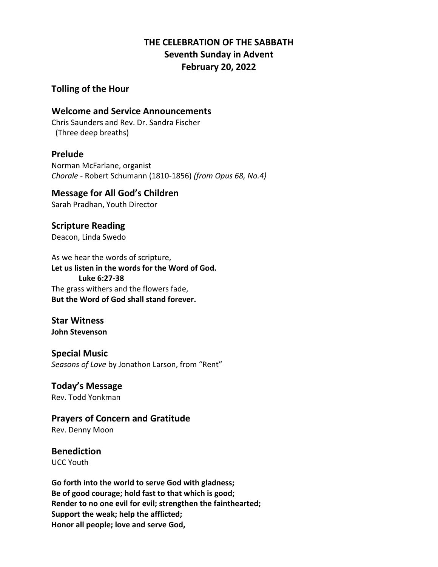# **THE CELEBRATION OF THE SABBATH Seventh Sunday in Advent February 20, 2022**

### **Tolling of the Hour**

### **Welcome and Service Announcements**

Chris Saunders and Rev. Dr. Sandra Fischer (Three deep breaths)

### **Prelude**

Norman McFarlane, organist *Chorale* - Robert Schumann (1810-1856) *(from Opus 68, No.4)*

# **Message for All God's Children**

Sarah Pradhan, Youth Director

### **Scripture Reading** Deacon, Linda Swedo

As we hear the words of scripture, **Let us listen in the words for the Word of God. Luke 6:27-38** The grass withers and the flowers fade, **But the Word of God shall stand forever.**

# **Star Witness**

**John Stevenson**

### **Special Music**

*Seasons of Love* by Jonathon Larson, from "Rent"

# **Today's Message**

Rev. Todd Yonkman

# **Prayers of Concern and Gratitude**

Rev. Denny Moon

# **Benediction**

UCC Youth

**Go forth into the world to serve God with gladness; Be of good courage; hold fast to that which is good; Render to no one evil for evil; strengthen the fainthearted; Support the weak; help the afflicted; Honor all people; love and serve God,**